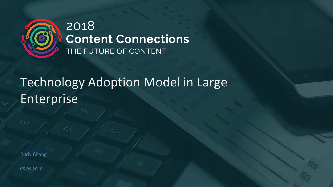

## 2018 **Content Connections** THE FUTURE OF CONTENT

# Technology Adoption Model in Large Enterprise

Rudy Chang

05.09.2018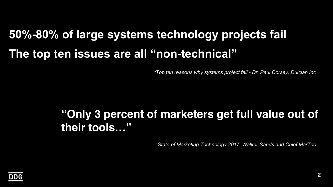# **50%-80% of large systems technology projects fail The top ten issues are all "non-technical"**

*\*Top ten reasons why systems project fail - Dr. Paul Dorsey, Dulcian Inc*

## **"Only 3 percent of marketers get full value out of their tools…"**

*\*State of Marketing Technology 2017, Walker-Sands and Chief MarTec*

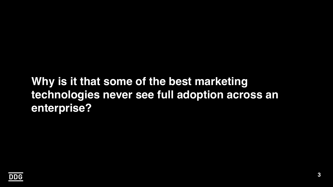## **Why is it that some of the best marketing technologies never see full adoption across an enterprise?**

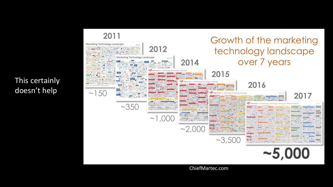

This certainly doesn't help

ChiefMartec.com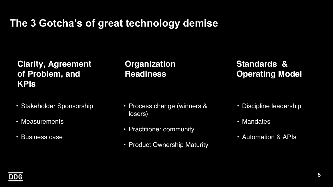### **The 3 Gotcha's of great technology demise**

#### **Clarity, Agreement of Problem, and KPIs**

- Stakeholder Sponsorship
- Measurements
- Business case

#### **Organization Readiness**

#### **Standards & Operating Model**

- Process change (winners & losers)
- Practitioner community
- Product Ownership Maturity
- Discipline leadership
- Mandates
- Automation & APIs

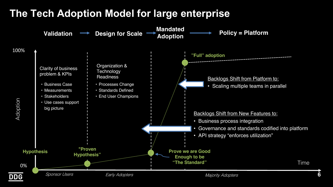### **The Tech Adoption Model for large enterprise**

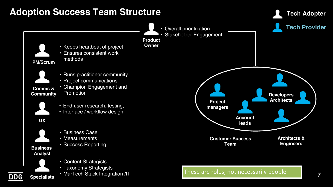#### **Adoption Success Team Structure**



**Tech Adopter**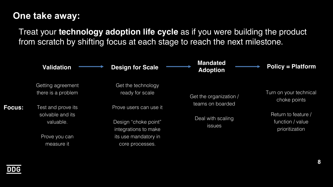#### **One take away:**

Treat your **technology adoption life cycle** as if you were building the product from scratch by shifting focus at each stage to reach the next milestone.



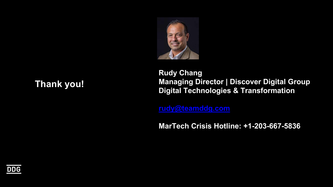

#### **Thank you!**

**Rudy Chang Managing Director | Discover Digital Group Digital Technologies & Transformation** 

**[rudy@teamddg.com](mailto:rudy@teamddg.com)**

**MarTech Crisis Hotline: +1-203-667-5836**